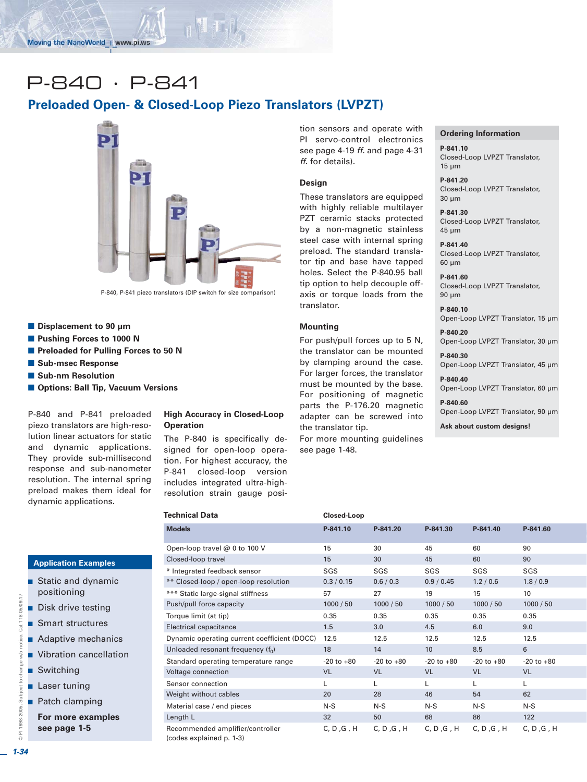# P-840 · P-841

# **Preloaded Open- & Closed-Loop Piezo Translators (LVPZT)**



- Displacement to 90 µm
- **Pushing Forces to 1000 N**
- $\blacksquare$  **Preloaded for Pulling Forces to 50 N**
- Sub-msec Response
- $\blacksquare$  Sub-nm Resolution
- $\blacksquare$  **Options: Ball Tip, Vacuum Versions**

P-840 and P-841 preloaded piezo translators are high-resolution linear actuators for static and dynamic applications. They provide sub-millisecond response and sub-nanometer resolution. The internal spring preload makes them ideal for dynamic applications.

#### **High Accuracy in Closed-Loop Operation**

The P-840 is specifically designed for open-loop operation. For highest accuracy, the P-841 closed-loop version includes integrated ultra-highresolution strain gauge position sensors and operate with PI servo-control electronics see page 4-19 *ff.* and page 4-31 *ff*. for details).

## **Design**

These translators are equipped with highly reliable multilayer PZT ceramic stacks protected by a non-magnetic stainless steel case with internal spring preload. The standard translator tip and base have tapped holes. Select the P-840.95 ball tip option to help decouple offaxis or torque loads from the translator.

#### **Mounting**

For push/pull forces up to 5 N, the translator can be mounted by clamping around the case. For larger forces, the translator must be mounted by the base. For positioning of magnetic parts the P-176.20 magnetic adapter can be screwed into the translator tip.

For more mounting guidelines see page 1-48.

#### **Ordering Information**

**P-841.10** Closed-Loop LVPZT Translator, 15 µm

**P-841.20** Closed-Loop LVPZT Translator, 30 µm

**P-841.30** Closed-Loop LVPZT Translator, 45 µm

**P-841.40** Closed-Loop LVPZT Translator, 60 µm

**P-841.60** Closed-Loop LVPZT Translator, 90 µm

**P-840.10** Open-Loop LVPZT Translator, 15 µm

**P-840.20** Open-Loop LVPZT Translator, 30 µm **P-840.30**

Open-Loop LVPZT Translator, 45 µm

**P-840.40** Open-Loop LVPZT Translator, 60 µm

**P-840.60** Open-Loop LVPZT Translator, 90 µm

**Ask about custom designs!**

| <b>Technical Data</b>                                        | Closed-Loop    |                |                |                |                |
|--------------------------------------------------------------|----------------|----------------|----------------|----------------|----------------|
| <b>Models</b>                                                | P-841.10       | P-841.20       | P-841.30       | P-841.40       | P-841.60       |
| Open-loop travel @ 0 to 100 V                                | 15             | 30             | 45             | 60             | 90             |
| Closed-loop travel                                           | 15             | 30             | 45             | 60             | 90             |
| * Integrated feedback sensor                                 | SGS            | SGS            | SGS            | SGS            | SGS            |
| ** Closed-loop / open-loop resolution                        | 0.3 / 0.15     | 0.6 / 0.3      | 0.9 / 0.45     | 1.2/0.6        | 1.8/0.9        |
| *** Static large-signal stiffness                            | 57             | 27             | 19             | 15             | 10             |
| Push/pull force capacity                                     | 1000 / 50      | 1000 / 50      | 1000 / 50      | 1000 / 50      | 1000 / 50      |
| Torque limit (at tip)                                        | 0.35           | 0.35           | 0.35           | 0.35           | 0.35           |
| <b>Electrical capacitance</b>                                | 1.5            | 3.0            | 4.5            | 6.0            | 9.0            |
| Dynamic operating current coefficient (DOCC)                 | 12.5           | 12.5           | 12.5           | 12.5           | 12.5           |
| Unloaded resonant frequency $(f_0)$                          | 18             | 14             | 10             | 8.5            | 6              |
| Standard operating temperature range                         | $-20$ to $+80$ | $-20$ to $+80$ | $-20$ to $+80$ | $-20$ to $+80$ | $-20$ to $+80$ |
| Voltage connection                                           | <b>VL</b>      | <b>VL</b>      | <b>VL</b>      | <b>VL</b>      | <b>VL</b>      |
| Sensor connection                                            | L              | L              | L              | L              | L              |
| Weight without cables                                        | 20             | 28             | 46             | 54             | 62             |
| Material case / end pieces                                   | $N-S$          | $N-S$          | $N-S$          | $N-S$          | $N-S$          |
| Length L                                                     | 32             | 50             | 68             | 86             | 122            |
| Recommended amplifier/controller<br>(codes explained p. 1-3) | C, D, G, H     | C, D, G, H     | C, D, G, H     | C, D, G, H     | C, D, G, H     |

# **Application Examples**

- - Static and dynamic positioning
- **Disk drive testing**
- Smart structures
- **Adaptive mechanics**
- **No. 22 Vibration cancellation**
- Switching
- **Laser tuning**
- **Patch clamping**

**For more examples see page 1-5**

 $\frac{1}{6}$ 

© PI 1998-2005. Subject to change w/o notice. Cat 118 05/09.17

1998-2005. Subject to change

w/o

 $\overline{a}$ 

Cat 118 05/09